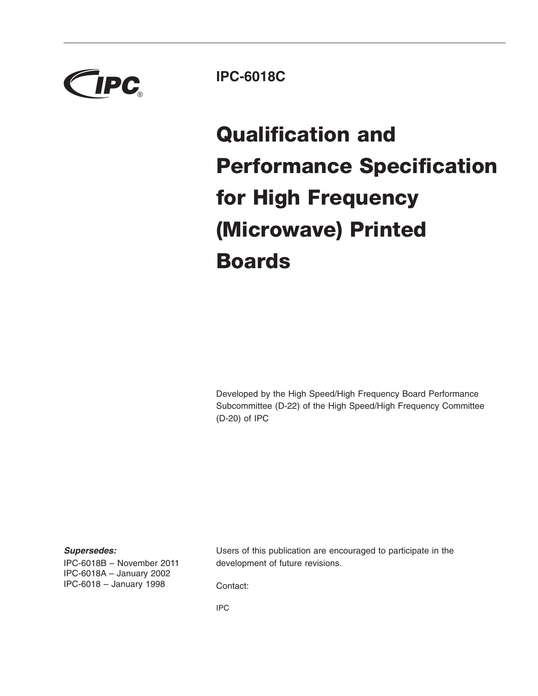

**IPC-6018C**

# **Qualification and Performance Specification for High Frequency (Microwave) Printed Boards**

Developed by the High Speed/High Frequency Board Performance Subcommittee (D-22) of the High Speed/High Frequency Committee (D-20) of IPC

### *Supersedes:*

IPC-6018B – November 2011 IPC-6018A – January 2002 IPC-6018 – January 1998

Users of this publication are encouraged to participate in the development of future revisions.

Contact:

IPC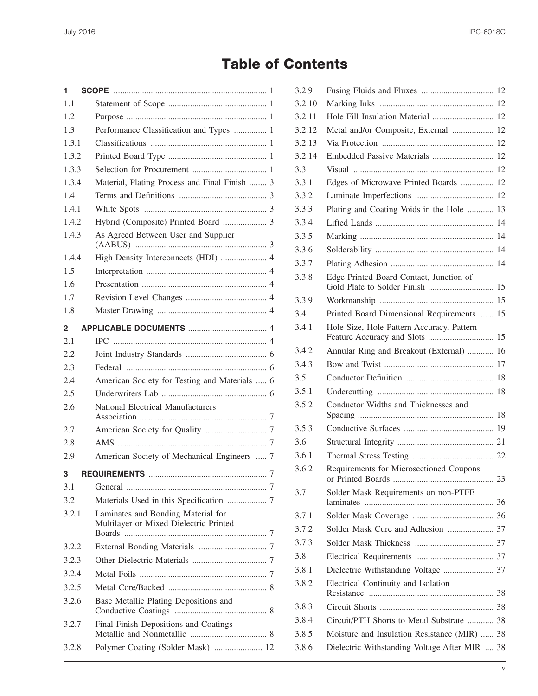## **Table of Contents**

| 1     |                                                                              |
|-------|------------------------------------------------------------------------------|
| 1.1   |                                                                              |
| 1.2   |                                                                              |
| 1.3   | Performance Classification and Types  1                                      |
| 1.3.1 |                                                                              |
| 1.3.2 |                                                                              |
| 1.3.3 |                                                                              |
| 1.3.4 | Material, Plating Process and Final Finish  3                                |
| 1.4   |                                                                              |
| 1.4.1 |                                                                              |
| 1.4.2 |                                                                              |
| 1.4.3 | As Agreed Between User and Supplier                                          |
| 1.4.4 | High Density Interconnects (HDI)  4                                          |
| 1.5   |                                                                              |
| 1.6   |                                                                              |
| 1.7   |                                                                              |
| 1.8   |                                                                              |
| 2     |                                                                              |
| 2.1   |                                                                              |
| 2.2   |                                                                              |
| 2.3   |                                                                              |
| 2.4   | American Society for Testing and Materials  6                                |
| 2.5   |                                                                              |
| 2.6   | <b>National Electrical Manufacturers</b>                                     |
| 2.7   |                                                                              |
| 2.8   |                                                                              |
| 2.9   | American Society of Mechanical Engineers  7                                  |
| 3     |                                                                              |
| 3.1   |                                                                              |
| 3.2   |                                                                              |
| 3.2.1 | Laminates and Bonding Material for<br>Multilayer or Mixed Dielectric Printed |
| 3.2.2 |                                                                              |
| 3.2.3 |                                                                              |
| 3.2.4 |                                                                              |
| 3.2.5 |                                                                              |
| 3.2.6 | Base Metallic Plating Depositions and                                        |
| 3.2.7 | Final Finish Depositions and Coatings -                                      |
| 3.2.8 | Polymer Coating (Solder Mask)  12                                            |

| 3.2.9  |                                                                             |  |
|--------|-----------------------------------------------------------------------------|--|
| 3.2.10 |                                                                             |  |
| 3.2.11 | Hole Fill Insulation Material  12                                           |  |
| 3.2.12 | Metal and/or Composite, External  12                                        |  |
| 3.2.13 |                                                                             |  |
| 3.2.14 | Embedded Passive Materials  12                                              |  |
| 3.3    |                                                                             |  |
| 3.3.1  | Edges of Microwave Printed Boards  12                                       |  |
| 3.3.2  |                                                                             |  |
| 3.3.3  | Plating and Coating Voids in the Hole  13                                   |  |
| 3.3.4  |                                                                             |  |
| 3.3.5  |                                                                             |  |
| 3.3.6  |                                                                             |  |
| 3.3.7  |                                                                             |  |
| 3.3.8  | Edge Printed Board Contact, Junction of<br>Gold Plate to Solder Finish  15  |  |
| 3.3.9  |                                                                             |  |
| 3.4    | Printed Board Dimensional Requirements  15                                  |  |
| 3.4.1  | Hole Size, Hole Pattern Accuracy, Pattern<br>Feature Accuracy and Slots  15 |  |
| 3.4.2  | Annular Ring and Breakout (External)  16                                    |  |
| 3.4.3  |                                                                             |  |
| 3.5    |                                                                             |  |
| 3.5.1  |                                                                             |  |
| 3.5.2  | Conductor Widths and Thicknesses and                                        |  |
| 3.5.3  |                                                                             |  |
| 3.6    |                                                                             |  |
| 3.6.1  |                                                                             |  |
| 3.6.2  | Requirements for Microsectioned Coupons<br>23                               |  |
| 3.7    | Solder Mask Requirements on non-PTFE                                        |  |
| 3.7.1  |                                                                             |  |
| 3.7.2  | Solder Mask Cure and Adhesion  37                                           |  |
| 3.7.3  |                                                                             |  |
| 3.8    |                                                                             |  |
| 3.8.1  | Dielectric Withstanding Voltage  37                                         |  |
| 3.8.2  | Electrical Continuity and Isolation                                         |  |
| 3.8.3  |                                                                             |  |
| 3.8.4  | Circuit/PTH Shorts to Metal Substrate  38                                   |  |
| 3.8.5  | Moisture and Insulation Resistance (MIR)  38                                |  |
| 3.8.6  | Dielectric Withstanding Voltage After MIR  38                               |  |
|        |                                                                             |  |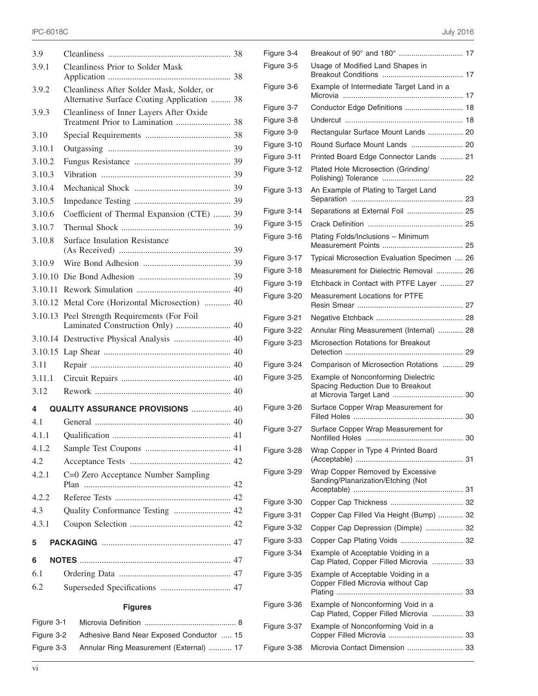| 3.9     |                                                                                          |  |
|---------|------------------------------------------------------------------------------------------|--|
| 3.9.1   | <b>Cleanliness Prior to Solder Mask</b>                                                  |  |
| 3.9.2   | Cleanliness After Solder Mask, Solder, or<br>Alternative Surface Coating Application  38 |  |
| 3.9.3   | Cleanliness of Inner Layers After Oxide<br>Treatment Prior to Lamination  38             |  |
| 3.10    |                                                                                          |  |
| 3.10.1  |                                                                                          |  |
| 3.10.2  |                                                                                          |  |
| 3.10.3  |                                                                                          |  |
| 3.10.4  |                                                                                          |  |
| 3.10.5  |                                                                                          |  |
| 3.10.6  | Coefficient of Thermal Expansion (CTE)  39                                               |  |
| 3.10.7  |                                                                                          |  |
| 3.10.8  | <b>Surface Insulation Resistance</b>                                                     |  |
| 3.10.9  |                                                                                          |  |
| 3.10.10 |                                                                                          |  |
| 3.10.11 |                                                                                          |  |
| 3.10.12 | Metal Core (Horizontal Microsection)  40                                                 |  |
| 3.10.13 | Peel Strength Requirements (For Foil                                                     |  |
|         | Laminated Construction Only)  40                                                         |  |
|         | 3.10.14 Destructive Physical Analysis  40                                                |  |
| 3.10.15 |                                                                                          |  |
| 3.11    |                                                                                          |  |
| 3.11.1  |                                                                                          |  |
| 3.12    |                                                                                          |  |
| 4       | <b>QUALITY ASSURANCE PROVISIONS  40</b>                                                  |  |
| 4.1     |                                                                                          |  |
| 4.1.1   |                                                                                          |  |
| 4.1.2   |                                                                                          |  |
| 4.2     |                                                                                          |  |
| 4.2.1   | C=0 Zero Acceptance Number Sampling                                                      |  |
| 4.2.2   |                                                                                          |  |
| 4.3     | Quality Conformance Testing  42                                                          |  |
| 4.3.1   |                                                                                          |  |
| 5       |                                                                                          |  |
| 6       |                                                                                          |  |
| 6.1     |                                                                                          |  |
| 6.2     |                                                                                          |  |
|         |                                                                                          |  |
|         | <b>Figures</b>                                                                           |  |

| Figure 3-1 |                                                     |
|------------|-----------------------------------------------------|
|            | Figure 3-2 Adhesive Band Near Exposed Conductor  15 |
| Figure 3-3 | Annular Ring Measurement (External)  17             |

| Figure 3-4  |                                                                              |
|-------------|------------------------------------------------------------------------------|
| Figure 3-5  | Usage of Modified Land Shapes in                                             |
| Figure 3-6  | Example of Intermediate Target Land in a                                     |
| Figure 3-7  | Conductor Edge Definitions  18                                               |
| Figure 3-8  |                                                                              |
| Figure 3-9  | Rectangular Surface Mount Lands  20                                          |
| Figure 3-10 | Round Surface Mount Lands  20                                                |
| Figure 3-11 | Printed Board Edge Connector Lands  21                                       |
| Figure 3-12 | Plated Hole Microsection (Grinding/                                          |
| Figure 3-13 | An Example of Plating to Target Land                                         |
| Figure 3-14 | Separations at External Foil  25                                             |
| Figure 3-15 |                                                                              |
| Figure 3-16 | Plating Folds/Inclusions - Minimum                                           |
| Figure 3-17 | Typical Microsection Evaluation Specimen  26                                 |
| Figure 3-18 | Measurement for Dielectric Removal  26                                       |
| Figure 3-19 | Etchback in Contact with PTFE Layer  27                                      |
| Figure 3-20 | Measurement Locations for PTFE                                               |
| Figure 3-21 |                                                                              |
| Figure 3-22 | Annular Ring Measurement (Internal)  28                                      |
| Figure 3-23 | Microsection Rotations for Breakout                                          |
| Figure 3-24 | Comparison of Microsection Rotations  29                                     |
| Figure 3-25 | Example of Nonconforming Dielectric<br>Spacing Reduction Due to Breakout     |
| Figure 3-26 | Surface Copper Wrap Measurement for                                          |
| Figure 3-27 | Surface Copper Wrap Measurement for                                          |
| Figure 3-28 | Wrap Copper in Type 4 Printed Board                                          |
| Figure 3-29 | Wrap Copper Removed by Excessive<br>Sanding/Planarization/Etching (Not       |
| Figure 3-30 |                                                                              |
| Figure 3-31 | Copper Cap Filled Via Height (Bump)  32                                      |
| Figure 3-32 | Copper Cap Depression (Dimple)  32                                           |
| Figure 3-33 | Copper Cap Plating Voids  32                                                 |
| Figure 3-34 | Example of Acceptable Voiding in a<br>Cap Plated, Copper Filled Microvia  33 |
| Figure 3-35 | Example of Acceptable Voiding in a<br>Copper Filled Microvia without Cap     |
| Figure 3-36 | Example of Nonconforming Void in a<br>Cap Plated, Copper Filled Microvia  33 |
| Figure 3-37 | Example of Nonconforming Void in a                                           |
| Figure 3-38 |                                                                              |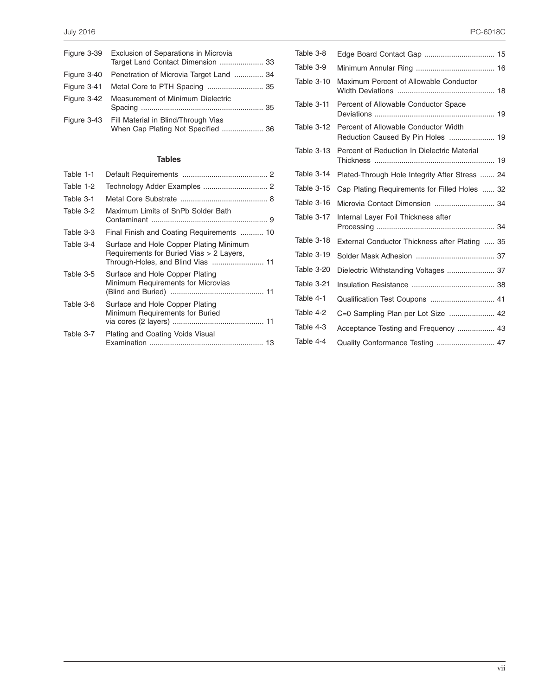| Figure 3-39 Exclusion of Separations in Microvia                                      |
|---------------------------------------------------------------------------------------|
| Figure 3-40 Penetration of Microvia Target Land  34                                   |
|                                                                                       |
| Figure 3-42 Measurement of Minimum Dielectric                                         |
| Figure 3-43 Fill Material in Blind/Through Vias<br>When Cap Plating Not Specified  36 |

### **Tables**

| Table 1-1 |                                                                                                                          |
|-----------|--------------------------------------------------------------------------------------------------------------------------|
| Table 1-2 |                                                                                                                          |
| Table 3-1 |                                                                                                                          |
| Table 3-2 | Maximum Limits of SnPb Solder Bath                                                                                       |
| Table 3-3 | Final Finish and Coating Requirements  10                                                                                |
| Table 3-4 | Surface and Hole Copper Plating Minimum<br>Requirements for Buried Vias > 2 Layers,<br>Through-Holes, and Blind Vias  11 |
| Table 3-5 | Surface and Hole Copper Plating<br>Minimum Requirements for Microvias                                                    |
| Table 3-6 | Surface and Hole Copper Plating<br>Minimum Requirements for Buried                                                       |
| Table 3-7 | Plating and Coating Voids Visual                                                                                         |

| Table 3-8  |                                                                           |
|------------|---------------------------------------------------------------------------|
| Table 3-9  |                                                                           |
| Table 3-10 | Maximum Percent of Allowable Conductor                                    |
| Table 3-11 | Percent of Allowable Conductor Space                                      |
| Table 3-12 | Percent of Allowable Conductor Width<br>Reduction Caused By Pin Holes  19 |
| Table 3-13 | Percent of Reduction In Dielectric Material                               |
| Table 3-14 | Plated-Through Hole Integrity After Stress  24                            |
| Table 3-15 | Cap Plating Requirements for Filled Holes  32                             |
| Table 3-16 |                                                                           |
| Table 3-17 | Internal Layer Foil Thickness after                                       |
| Table 3-18 | External Conductor Thickness after Plating  35                            |
| Table 3-19 |                                                                           |
| Table 3-20 | Dielectric Withstanding Voltages  37                                      |
| Table 3-21 |                                                                           |
| Table 4-1  | Qualification Test Coupons  41                                            |
| Table 4-2  | C=0 Sampling Plan per Lot Size  42                                        |
| Table 4-3  | Acceptance Testing and Frequency  43                                      |
| Table 4-4  |                                                                           |
|            |                                                                           |